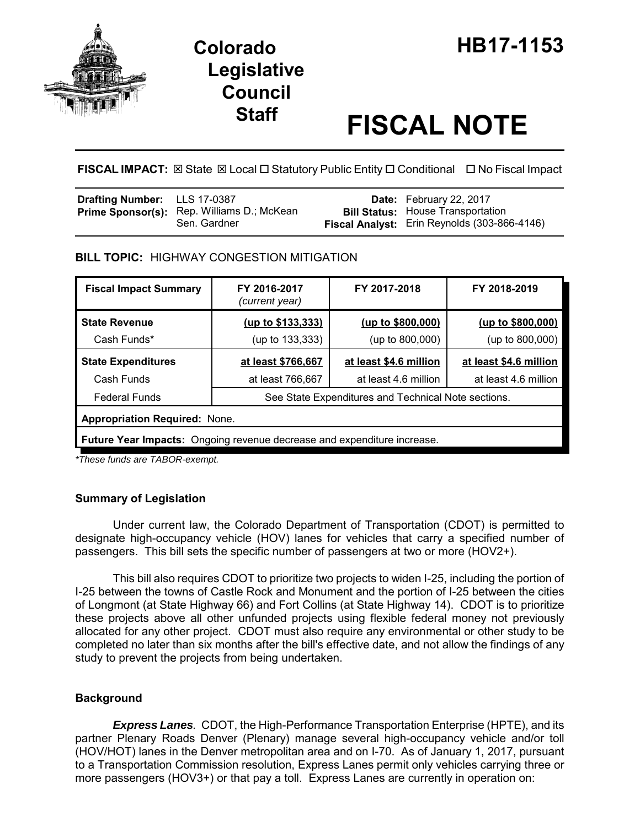



# **Staff FISCAL NOTE**

**FISCAL IMPACT:** ⊠ State ⊠ Local □ Statutory Public Entity □ Conditional □ No Fiscal Impact

| Drafting Number: LLS 17-0387 |                                                                   | <b>Date:</b> February 22, 2017                                                           |
|------------------------------|-------------------------------------------------------------------|------------------------------------------------------------------------------------------|
|                              | <b>Prime Sponsor(s):</b> Rep. Williams D.; McKean<br>Sen. Gardner | <b>Bill Status: House Transportation</b><br>Fiscal Analyst: Erin Reynolds (303-866-4146) |

## **BILL TOPIC:** HIGHWAY CONGESTION MITIGATION

| <b>Fiscal Impact Summary</b>                                                   | FY 2016-2017<br>(current year)                      | FY 2017-2018           | FY 2018-2019           |  |  |  |
|--------------------------------------------------------------------------------|-----------------------------------------------------|------------------------|------------------------|--|--|--|
| <b>State Revenue</b>                                                           | (up to \$133,333)                                   | (up to \$800,000)      | (up to \$800,000)      |  |  |  |
| Cash Funds*                                                                    | (up to 133,333)                                     | (up to 800,000)        | (up to 800,000)        |  |  |  |
| <b>State Expenditures</b>                                                      | at least \$766,667                                  | at least \$4.6 million | at least \$4.6 million |  |  |  |
| Cash Funds                                                                     | at least 766,667                                    | at least 4.6 million   | at least 4.6 million   |  |  |  |
| <b>Federal Funds</b>                                                           | See State Expenditures and Technical Note sections. |                        |                        |  |  |  |
| <b>Appropriation Required: None.</b>                                           |                                                     |                        |                        |  |  |  |
| <b>Future Year Impacts:</b> Ongoing revenue decrease and expenditure increase. |                                                     |                        |                        |  |  |  |

*\*These funds are TABOR-exempt.*

## **Summary of Legislation**

Under current law, the Colorado Department of Transportation (CDOT) is permitted to designate high-occupancy vehicle (HOV) lanes for vehicles that carry a specified number of passengers. This bill sets the specific number of passengers at two or more (HOV2+).

This bill also requires CDOT to prioritize two projects to widen I-25, including the portion of I-25 between the towns of Castle Rock and Monument and the portion of I-25 between the cities of Longmont (at State Highway 66) and Fort Collins (at State Highway 14). CDOT is to prioritize these projects above all other unfunded projects using flexible federal money not previously allocated for any other project. CDOT must also require any environmental or other study to be completed no later than six months after the bill's effective date, and not allow the findings of any study to prevent the projects from being undertaken.

## **Background**

*Express Lanes.* CDOT, the High-Performance Transportation Enterprise (HPTE), and its partner Plenary Roads Denver (Plenary) manage several high-occupancy vehicle and/or toll (HOV/HOT) lanes in the Denver metropolitan area and on I-70. As of January 1, 2017, pursuant to a Transportation Commission resolution, Express Lanes permit only vehicles carrying three or more passengers (HOV3+) or that pay a toll. Express Lanes are currently in operation on: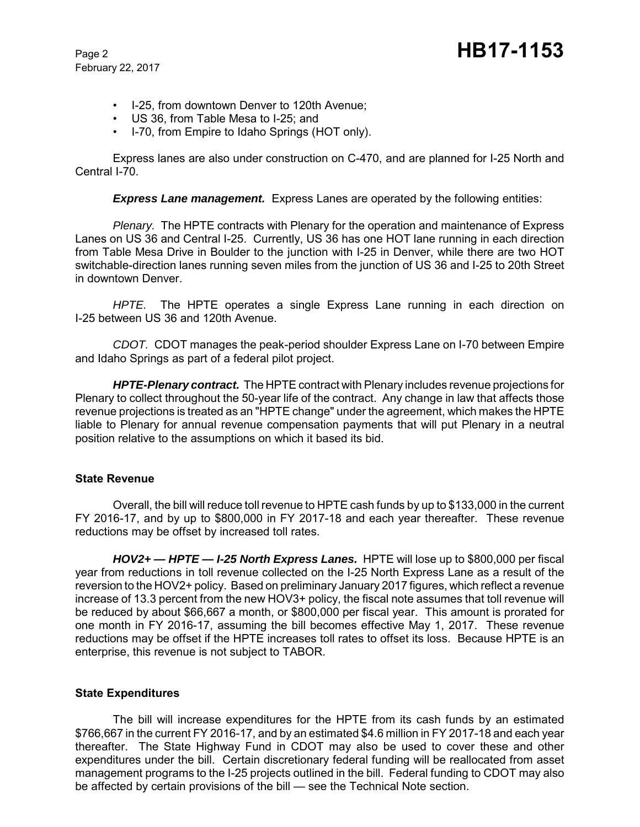February 22, 2017

- I-25, from downtown Denver to 120th Avenue;
- US 36, from Table Mesa to I-25; and
- I-70, from Empire to Idaho Springs (HOT only).

Express lanes are also under construction on C-470, and are planned for I-25 North and Central I-70.

**Express Lane management.** Express Lanes are operated by the following entities:

*Plenary.* The HPTE contracts with Plenary for the operation and maintenance of Express Lanes on US 36 and Central I-25. Currently, US 36 has one HOT lane running in each direction from Table Mesa Drive in Boulder to the junction with I-25 in Denver, while there are two HOT switchable-direction lanes running seven miles from the junction of US 36 and I-25 to 20th Street in downtown Denver.

*HPTE.* The HPTE operates a single Express Lane running in each direction on I-25 between US 36 and 120th Avenue.

*CDOT.* CDOT manages the peak-period shoulder Express Lane on I-70 between Empire and Idaho Springs as part of a federal pilot project.

*HPTE-Plenary contract.* The HPTE contract with Plenary includes revenue projections for Plenary to collect throughout the 50-year life of the contract. Any change in law that affects those revenue projections is treated as an "HPTE change" under the agreement, which makes the HPTE liable to Plenary for annual revenue compensation payments that will put Plenary in a neutral position relative to the assumptions on which it based its bid.

#### **State Revenue**

Overall, the bill will reduce toll revenue to HPTE cash funds by up to \$133,000 in the current FY 2016-17, and by up to \$800,000 in FY 2017-18 and each year thereafter. These revenue reductions may be offset by increased toll rates.

*HOV2+ — HPTE — I-25 North Express Lanes.* HPTE will lose up to \$800,000 per fiscal year from reductions in toll revenue collected on the I-25 North Express Lane as a result of the reversion to the HOV2+ policy. Based on preliminary January 2017 figures, which reflect a revenue increase of 13.3 percent from the new HOV3+ policy, the fiscal note assumes that toll revenue will be reduced by about \$66,667 a month, or \$800,000 per fiscal year. This amount is prorated for one month in FY 2016-17, assuming the bill becomes effective May 1, 2017. These revenue reductions may be offset if the HPTE increases toll rates to offset its loss. Because HPTE is an enterprise, this revenue is not subject to TABOR.

#### **State Expenditures**

The bill will increase expenditures for the HPTE from its cash funds by an estimated \$766,667 in the current FY 2016-17, and by an estimated \$4.6 million in FY 2017-18 and each year thereafter. The State Highway Fund in CDOT may also be used to cover these and other expenditures under the bill. Certain discretionary federal funding will be reallocated from asset management programs to the I-25 projects outlined in the bill. Federal funding to CDOT may also be affected by certain provisions of the bill — see the Technical Note section.